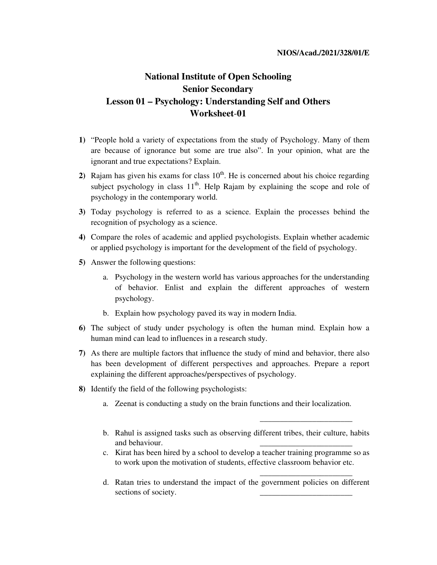## **National Institute of Open Schooling Senior Secondary Lesson 01 – Psychology: Understanding Self and Others Worksheet**-**01**

- **1)** "People hold a variety of expectations from the study of Psychology. Many of them are because of ignorance but some are true also". In your opinion, what are the ignorant and true expectations? Explain.
- **2)** Rajam has given his exams for class  $10<sup>th</sup>$ . He is concerned about his choice regarding subject psychology in class  $11<sup>th</sup>$ . Help Rajam by explaining the scope and role of psychology in the contemporary world.
- **3)** Today psychology is referred to as a science. Explain the processes behind the recognition of psychology as a science.
- **4)** Compare the roles of academic and applied psychologists. Explain whether academic or applied psychology is important for the development of the field of psychology.
- **5)** Answer the following questions:
	- a. Psychology in the western world has various approaches for the understanding of behavior. Enlist and explain the different approaches of western psychology.
	- b. Explain how psychology paved its way in modern India.
- **6)** The subject of study under psychology is often the human mind. Explain how a human mind can lead to influences in a research study.
- **7)** As there are multiple factors that influence the study of mind and behavior, there also has been development of different perspectives and approaches. Prepare a report explaining the different approaches/perspectives of psychology.
- **8)** Identify the field of the following psychologists:
	- a. Zeenat is conducting a study on the brain functions and their localization.
	- b. Rahul is assigned tasks such as observing different tribes, their culture, habits and behaviour.

\_\_\_\_\_\_\_\_\_\_\_\_\_\_\_\_\_\_\_\_\_\_\_

\_\_\_\_\_\_\_\_\_\_\_\_\_\_\_\_\_\_\_\_\_\_\_

- c. Kirat has been hired by a school to develop a teacher training programme so as to work upon the motivation of students, effective classroom behavior etc.
- d. Ratan tries to understand the impact of the government policies on different sections of society.